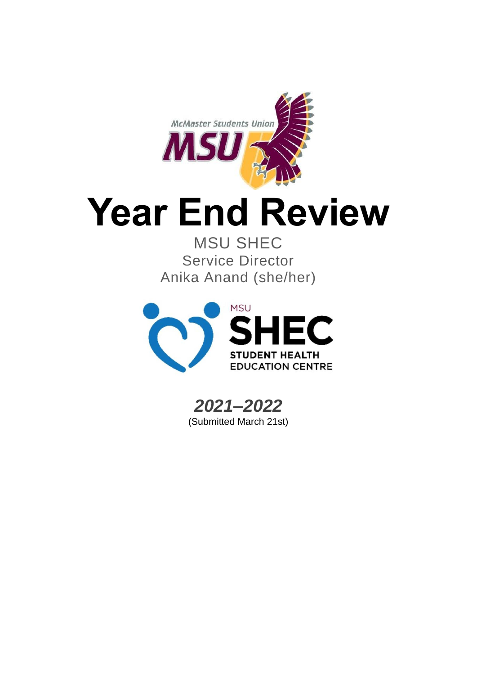

# **Year End Review**

MSU SHEC Service Director Anika Anand (she/her)



*2021–2022* (Submitted March 21st)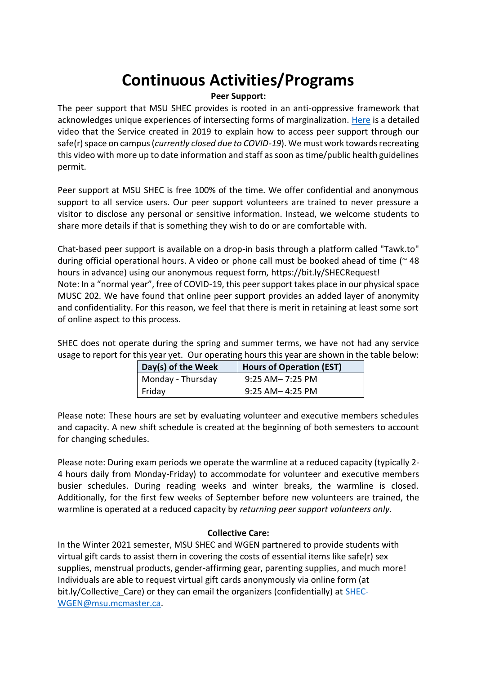# **Continuous Activities/Programs**

#### **Peer Support:**

The peer support that MSU SHEC provides is rooted in an anti-oppressive framework that acknowledges unique experiences of intersecting forms of marginalization. [Here](https://www.facebook.com/plugins/video.php?href=https%3A%2F%2Fwww.facebook.com%2FmsuSHEC%2Fvideos%2F567926427357818%2F&) is a detailed video that the Service created in 2019 to explain how to access peer support through our safe(r) space on campus (*currently closed due to COVID-19*). We must work towards recreating this video with more up to date information and staff as soon as time/public health guidelines permit.

Peer support at MSU SHEC is free 100% of the time. We offer confidential and anonymous support to all service users. Our peer support volunteers are trained to never pressure a visitor to disclose any personal or sensitive information. Instead, we welcome students to share more details if that is something they wish to do or are comfortable with.

Chat-based peer support is available on a drop-in basis through a platform called "Tawk.to" during official operational hours. A video or phone call must be booked ahead of time (~ 48 hours in advance) using our anonymous request form, https://bit.ly/SHECRequest! Note: In a "normal year", free of COVID-19, this peer support takes place in our physical space MUSC 202. We have found that online peer support provides an added layer of anonymity and confidentiality. For this reason, we feel that there is merit in retaining at least some sort of online aspect to this process.

SHEC does not operate during the spring and summer terms, we have not had any service usage to report for this year yet. Our operating hours this year are shown in the table below:

| Day(s) of the Week | <b>Hours of Operation (EST)</b> |
|--------------------|---------------------------------|
| Monday - Thursday  | 9:25 AM- 7:25 PM                |
| Friday             | 9:25 AM-4:25 PM                 |

Please note: These hours are set by evaluating volunteer and executive members schedules and capacity. A new shift schedule is created at the beginning of both semesters to account for changing schedules.

Please note: During exam periods we operate the warmline at a reduced capacity (typically 2- 4 hours daily from Monday-Friday) to accommodate for volunteer and executive members busier schedules. During reading weeks and winter breaks, the warmline is closed. Additionally, for the first few weeks of September before new volunteers are trained, the warmline is operated at a reduced capacity by *returning peer support volunteers only.* 

#### **Collective Care:**

In the Winter 2021 semester, MSU SHEC and WGEN partnered to provide students with virtual gift cards to assist them in covering the costs of essential items like safe(r) sex supplies, menstrual products, gender-affirming gear, parenting supplies, and much more! Individuals are able to request virtual gift cards anonymously via online form (at bit.ly/Collective Care) or they can email the organizers (confidentially) at [SHEC-](mailto:SHEC-WGEN@msu.mcmaster.ca)[WGEN@msu.mcmaster.ca.](mailto:SHEC-WGEN@msu.mcmaster.ca)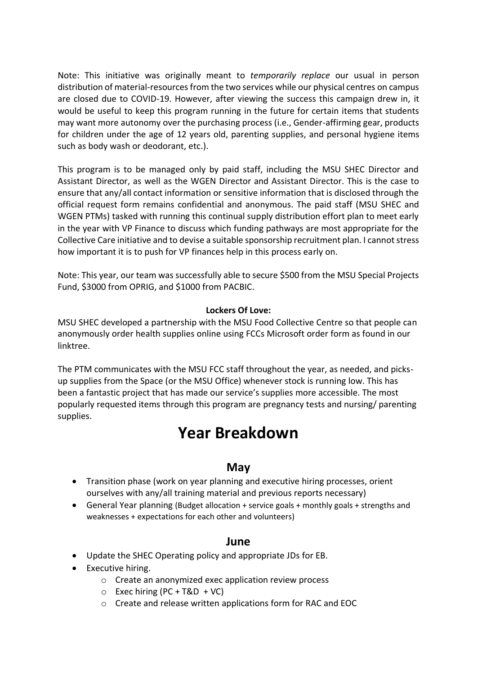Note: This initiative was originally meant to *temporarily replace* our usual in person distribution of material-resources from the two services while our physical centres on campus are closed due to COVID-19. However, after viewing the success this campaign drew in, it would be useful to keep this program running in the future for certain items that students may want more autonomy over the purchasing process (i.e., Gender-affirming gear, products for children under the age of 12 years old, parenting supplies, and personal hygiene items such as body wash or deodorant, etc.).

This program is to be managed only by paid staff, including the MSU SHEC Director and Assistant Director, as well as the WGEN Director and Assistant Director. This is the case to ensure that any/all contact information or sensitive information that is disclosed through the official request form remains confidential and anonymous. The paid staff (MSU SHEC and WGEN PTMs) tasked with running this continual supply distribution effort plan to meet early in the year with VP Finance to discuss which funding pathways are most appropriate for the Collective Care initiative and to devise a suitable sponsorship recruitment plan. I cannot stress how important it is to push for VP finances help in this process early on.

Note: This year, our team was successfully able to secure \$500 from the MSU Special Projects Fund, \$3000 from OPRIG, and \$1000 from PACBIC.

#### **Lockers Of Love:**

MSU SHEC developed a partnership with the MSU Food Collective Centre so that people can anonymously order health supplies online using FCCs Microsoft order form as found in our linktree.

The PTM communicates with the MSU FCC staff throughout the year, as needed, and picksup supplies from the Space (or the MSU Office) whenever stock is running low. This has been a fantastic project that has made our service's supplies more accessible. The most popularly requested items through this program are pregnancy tests and nursing/ parenting supplies.

# **Year Breakdown**

## **May**

- Transition phase (work on year planning and executive hiring processes, orient ourselves with any/all training material and previous reports necessary)
- General Year planning (Budget allocation + service goals + monthly goals + strengths and weaknesses + expectations for each other and volunteers)

#### **June**

- Update the SHEC Operating policy and appropriate JDs for EB.
- Executive hiring.
	- o Create an anonymized exec application review process
	- $\circ$  Exec hiring (PC + T&D + VC)
	- o Create and release written applications form for RAC and EOC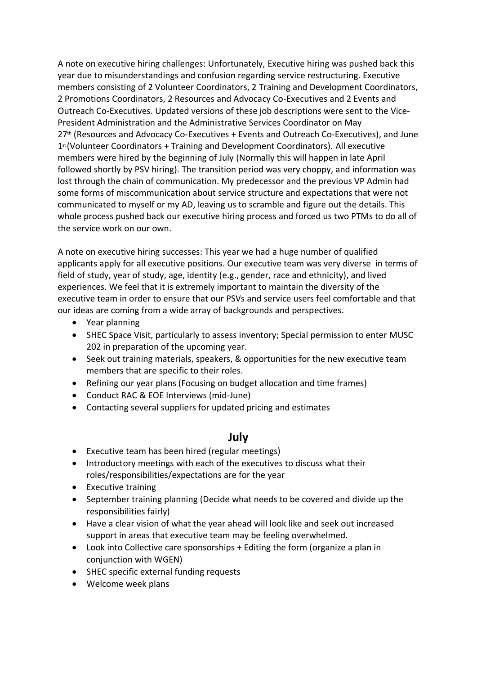A note on executive hiring challenges: Unfortunately, Executive hiring was pushed back this year due to misunderstandings and confusion regarding service restructuring. Executive members consisting of 2 Volunteer Coordinators, 2 Training and Development Coordinators, 2 Promotions Coordinators, 2 Resources and Advocacy Co-Executives and 2 Events and Outreach Co-Executives. Updated versions of these job descriptions were sent to the Vice-President Administration and the Administrative Services Coordinator on May 27<sup>th</sup> (Resources and Advocacy Co-Executives + Events and Outreach Co-Executives), and June 1st (Volunteer Coordinators + Training and Development Coordinators). All executive members were hired by the beginning of July (Normally this will happen in late April followed shortly by PSV hiring). The transition period was very choppy, and information was lost through the chain of communication. My predecessor and the previous VP Admin had some forms of miscommunication about service structure and expectations that were not communicated to myself or my AD, leaving us to scramble and figure out the details. This whole process pushed back our executive hiring process and forced us two PTMs to do all of the service work on our own.

A note on executive hiring successes: This year we had a huge number of qualified applicants apply for all executive positions. Our executive team was very diverse in terms of field of study, year of study, age, identity (e.g., gender, race and ethnicity), and lived experiences. We feel that it is extremely important to maintain the diversity of the executive team in order to ensure that our PSVs and service users feel comfortable and that our ideas are coming from a wide array of backgrounds and perspectives.

- Year planning
- SHEC Space Visit, particularly to assess inventory; Special permission to enter MUSC 202 in preparation of the upcoming year.
- Seek out training materials, speakers, & opportunities for the new executive team members that are specific to their roles.
- Refining our year plans (Focusing on budget allocation and time frames)
- Conduct RAC & EOE Interviews (mid-June)
- Contacting several suppliers for updated pricing and estimates

# **July**

- Executive team has been hired (regular meetings)
- Introductory meetings with each of the executives to discuss what their roles/responsibilities/expectations are for the year
- Executive training
- September training planning (Decide what needs to be covered and divide up the responsibilities fairly)
- Have a clear vision of what the year ahead will look like and seek out increased support in areas that executive team may be feeling overwhelmed.
- Look into Collective care sponsorships + Editing the form (organize a plan in conjunction with WGEN)
- SHEC specific external funding requests
- Welcome week plans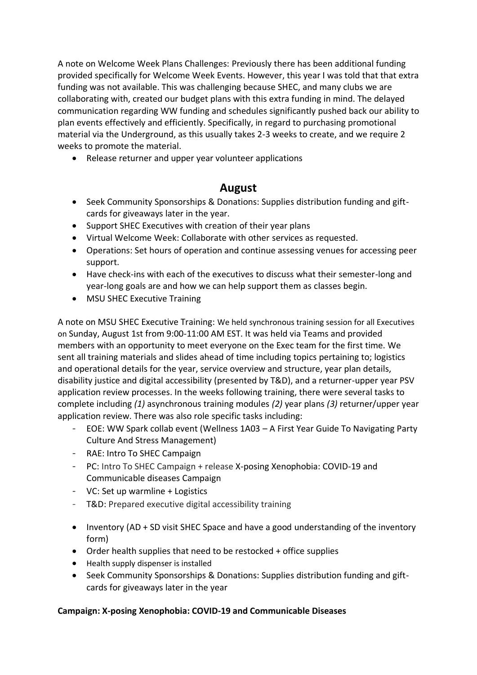A note on Welcome Week Plans Challenges: Previously there has been additional funding provided specifically for Welcome Week Events. However, this year I was told that that extra funding was not available. This was challenging because SHEC, and many clubs we are collaborating with, created our budget plans with this extra funding in mind. The delayed communication regarding WW funding and schedules significantly pushed back our ability to plan events effectively and efficiently. Specifically, in regard to purchasing promotional material via the Underground, as this usually takes 2-3 weeks to create, and we require 2 weeks to promote the material.

• Release returner and upper year volunteer applications

# **August**

- Seek Community Sponsorships & Donations: Supplies distribution funding and giftcards for giveaways later in the year.
- Support SHEC Executives with creation of their year plans
- Virtual Welcome Week: Collaborate with other services as requested.
- Operations: Set hours of operation and continue assessing venues for accessing peer support.
- Have check-ins with each of the executives to discuss what their semester-long and year-long goals are and how we can help support them as classes begin.
- MSU SHEC Executive Training

A note on MSU SHEC Executive Training: We held synchronous training session for all Executives on Sunday, August 1st from 9:00-11:00 AM EST. It was held via Teams and provided members with an opportunity to meet everyone on the Exec team for the first time. We sent all training materials and slides ahead of time including topics pertaining to; logistics and operational details for the year, service overview and structure, year plan details, disability justice and digital accessibility (presented by T&D), and a returner-upper year PSV application review processes. In the weeks following training, there were several tasks to complete including *(1)* asynchronous training modules *(2)* year plans *(3)* returner/upper year application review. There was also role specific tasks including:

- EOE: WW Spark collab event (Wellness 1A03 A First Year Guide To Navigating Party Culture And Stress Management)
- RAE: Intro To SHEC Campaign
- PC: Intro To SHEC Campaign + release X-posing Xenophobia: COVID-19 and Communicable diseases Campaign
- VC: Set up warmline + Logistics
- T&D: Prepared executive digital accessibility training
- Inventory (AD + SD visit SHEC Space and have a good understanding of the inventory form)
- Order health supplies that need to be restocked + office supplies
- Health supply dispenser is installed
- Seek Community Sponsorships & Donations: Supplies distribution funding and giftcards for giveaways later in the year

#### **Campaign: X-posing Xenophobia: COVID-19 and Communicable Diseases**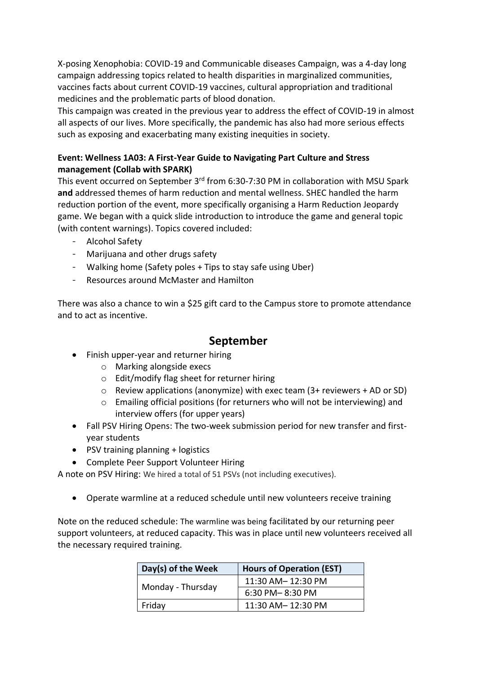X-posing Xenophobia: COVID-19 and Communicable diseases Campaign, was a 4-day long campaign addressing topics related to health disparities in marginalized communities, vaccines facts about current COVID-19 vaccines, cultural appropriation and traditional medicines and the problematic parts of blood donation.

This campaign was created in the previous year to address the effect of COVID-19 in almost all aspects of our lives. More specifically, the pandemic has also had more serious effects such as exposing and exacerbating many existing inequities in society.

#### **Event: Wellness 1A03: A First-Year Guide to Navigating Part Culture and Stress management (Collab with SPARK)**

This event occurred on September 3<sup>rd</sup> from 6:30-7:30 PM in collaboration with MSU Spark **and** addressed themes of harm reduction and mental wellness. SHEC handled the harm reduction portion of the event, more specifically organising a Harm Reduction Jeopardy game. We began with a quick slide introduction to introduce the game and general topic (with content warnings). Topics covered included:

- Alcohol Safety
- Marijuana and other drugs safety
- Walking home (Safety poles + Tips to stay safe using Uber)
- Resources around McMaster and Hamilton

There was also a chance to win a \$25 gift card to the Campus store to promote attendance and to act as incentive.

# **September**

- Finish upper-year and returner hiring
	- o Marking alongside execs
	- o Edit/modify flag sheet for returner hiring
	- o Review applications (anonymize) with exec team (3+ reviewers + AD or SD)
	- $\circ$  Emailing official positions (for returners who will not be interviewing) and interview offers (for upper years)
- Fall PSV Hiring Opens: The two-week submission period for new transfer and firstyear students
- PSV training planning + logistics
- Complete Peer Support Volunteer Hiring

A note on PSV Hiring: We hired a total of 51 PSVs (not including executives).

• Operate warmline at a reduced schedule until new volunteers receive training

Note on the reduced schedule: The warmline was being facilitated by our returning peer support volunteers, at reduced capacity. This was in place until new volunteers received all the necessary required training.

| Day(s) of the Week | <b>Hours of Operation (EST)</b> |
|--------------------|---------------------------------|
| Monday - Thursday  | 11:30 AM-12:30 PM               |
|                    | 6:30 PM-8:30 PM                 |
| Friday             | 11:30 AM-12:30 PM               |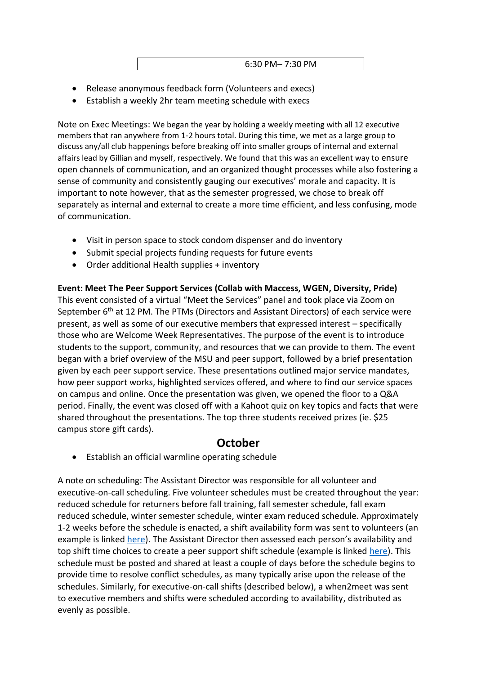6:30 PM– 7:30 PM

- Release anonymous feedback form (Volunteers and execs)
- Establish a weekly 2hr team meeting schedule with execs

Note on Exec Meetings: We began the year by holding a weekly meeting with all 12 executive members that ran anywhere from 1-2 hours total. During this time, we met as a large group to discuss any/all club happenings before breaking off into smaller groups of internal and external affairs lead by Gillian and myself, respectively. We found that this was an excellent way to ensure open channels of communication, and an organized thought processes while also fostering a sense of community and consistently gauging our executives' morale and capacity. It is important to note however, that as the semester progressed, we chose to break off separately as internal and external to create a more time efficient, and less confusing, mode of communication.

- Visit in person space to stock condom dispenser and do inventory
- Submit special projects funding requests for future events
- Order additional Health supplies + inventory

**Event: Meet The Peer Support Services (Collab with Maccess, WGEN, Diversity, Pride)** This event consisted of a virtual "Meet the Services" panel and took place via Zoom on September 6<sup>th</sup> at 12 PM. The PTMs (Directors and Assistant Directors) of each service were present, as well as some of our executive members that expressed interest – specifically those who are Welcome Week Representatives. The purpose of the event is to introduce students to the support, community, and resources that we can provide to them. The event began with a brief overview of the MSU and peer support, followed by a brief presentation given by each peer support service. These presentations outlined major service mandates, how peer support works, highlighted services offered, and where to find our service spaces on campus and online. Once the presentation was given, we opened the floor to a Q&A period. Finally, the event was closed off with a Kahoot quiz on key topics and facts that were shared throughout the presentations. The top three students received prizes (ie. \$25 campus store gift cards).

# **October**

• Establish an official warmline operating schedule

A note on scheduling: The Assistant Director was responsible for all volunteer and executive-on-call scheduling. Five volunteer schedules must be created throughout the year: reduced schedule for returners before fall training, fall semester schedule, fall exam reduced schedule, winter semester schedule, winter exam reduced schedule. Approximately 1-2 weeks before the schedule is enacted, a shift availability form was sent to volunteers (an example is linke[d here](https://forms.office.com/Pages/ResponsePage.aspx?id=VULlUrBySUaVGi3kwXAAnWFxY06aNFBMktynKFmEgKtUMEVTWjFLTlFJTk5PTExHTDZJQlFIUkkyUC4u)). The Assistant Director then assessed each person's availability and top shift time choices to create a peer support shift schedule (example is linked [here\)](https://docs.google.com/document/d/1gKMNUafF0sfZrM1OmgCS0KMoYvehsDfUbut7buMIREw/edit). This schedule must be posted and shared at least a couple of days before the schedule begins to provide time to resolve conflict schedules, as many typically arise upon the release of the schedules. Similarly, for executive-on-call shifts (described below), a when2meet was sent to executive members and shifts were scheduled according to availability, distributed as evenly as possible.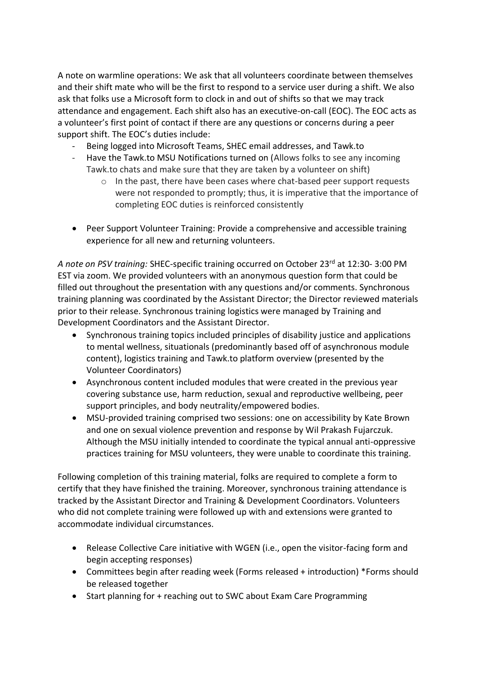A note on warmline operations: We ask that all volunteers coordinate between themselves and their shift mate who will be the first to respond to a service user during a shift. We also ask that folks use a Microsoft form to clock in and out of shifts so that we may track attendance and engagement. Each shift also has an executive-on-call (EOC). The EOC acts as a volunteer's first point of contact if there are any questions or concerns during a peer support shift. The EOC's duties include:

- Being logged into Microsoft Teams, SHEC email addresses, and Tawk.to
- Have the Tawk.to MSU Notifications turned on (Allows folks to see any incoming Tawk.to chats and make sure that they are taken by a volunteer on shift)
	- $\circ$  In the past, there have been cases where chat-based peer support requests were not responded to promptly; thus, it is imperative that the importance of completing EOC duties is reinforced consistently
- Peer Support Volunteer Training: Provide a comprehensive and accessible training experience for all new and returning volunteers.

*A note on PSV training:* SHEC-specific training occurred on October 23rd at 12:30- 3:00 PM EST via zoom. We provided volunteers with an anonymous question form that could be filled out throughout the presentation with any questions and/or comments. Synchronous training planning was coordinated by the Assistant Director; the Director reviewed materials prior to their release. Synchronous training logistics were managed by Training and Development Coordinators and the Assistant Director.

- Synchronous training topics included principles of disability justice and applications to mental wellness, situationals (predominantly based off of asynchronous module content), logistics training and Tawk.to platform overview (presented by the Volunteer Coordinators)
- Asynchronous content included modules that were created in the previous year covering substance use, harm reduction, sexual and reproductive wellbeing, peer support principles, and body neutrality/empowered bodies.
- MSU-provided training comprised two sessions: one on accessibility by Kate Brown and one on sexual violence prevention and response by Wil Prakash Fujarczuk. Although the MSU initially intended to coordinate the typical annual anti-oppressive practices training for MSU volunteers, they were unable to coordinate this training.

Following completion of this training material, folks are required to complete a form to certify that they have finished the training. Moreover, synchronous training attendance is tracked by the Assistant Director and Training & Development Coordinators. Volunteers who did not complete training were followed up with and extensions were granted to accommodate individual circumstances.

- Release Collective Care initiative with WGEN (i.e., open the visitor-facing form and begin accepting responses)
- Committees begin after reading week (Forms released + introduction) \*Forms should be released together
- Start planning for + reaching out to SWC about Exam Care Programming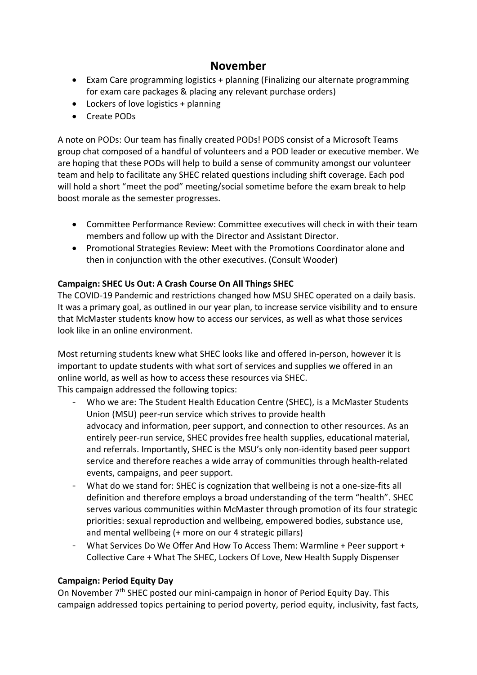# **November**

- Exam Care programming logistics + planning (Finalizing our alternate programming for exam care packages & placing any relevant purchase orders)
- Lockers of love logistics + planning
- Create PODs

A note on PODs: Our team has finally created PODs! PODS consist of a Microsoft Teams group chat composed of a handful of volunteers and a POD leader or executive member. We are hoping that these PODs will help to build a sense of community amongst our volunteer team and help to facilitate any SHEC related questions including shift coverage. Each pod will hold a short "meet the pod" meeting/social sometime before the exam break to help boost morale as the semester progresses.

- Committee Performance Review: Committee executives will check in with their team members and follow up with the Director and Assistant Director.
- Promotional Strategies Review: Meet with the Promotions Coordinator alone and then in conjunction with the other executives. (Consult Wooder)

#### **Campaign: SHEC Us Out: A Crash Course On All Things SHEC**

The COVID-19 Pandemic and restrictions changed how MSU SHEC operated on a daily basis. It was a primary goal, as outlined in our year plan, to increase service visibility and to ensure that McMaster students know how to access our services, as well as what those services look like in an online environment.

Most returning students knew what SHEC looks like and offered in-person, however it is important to update students with what sort of services and supplies we offered in an online world, as well as how to access these resources via SHEC. This campaign addressed the following topics:

- Who we are: The Student Health Education Centre (SHEC), is a McMaster Students Union (MSU) peer-run service which strives to provide health advocacy and information, peer support, and connection to other resources. As an entirely peer-run service, SHEC provides free health supplies, educational material, and referrals. Importantly, SHEC is the MSU's only non-identity based peer support service and therefore reaches a wide array of communities through health-related events, campaigns, and peer support.
- What do we stand for: SHEC is cognization that wellbeing is not a one-size-fits all definition and therefore employs a broad understanding of the term "health". SHEC serves various communities within McMaster through promotion of its four strategic priorities: sexual reproduction and wellbeing, empowered bodies, substance use, and mental wellbeing (+ more on our 4 strategic pillars)
- What Services Do We Offer And How To Access Them: Warmline + Peer support + Collective Care + What The SHEC, Lockers Of Love, New Health Supply Dispenser

#### **Campaign: Period Equity Day**

On November 7<sup>th</sup> SHEC posted our mini-campaign in honor of Period Equity Day. This campaign addressed topics pertaining to period poverty, period equity, inclusivity, fast facts,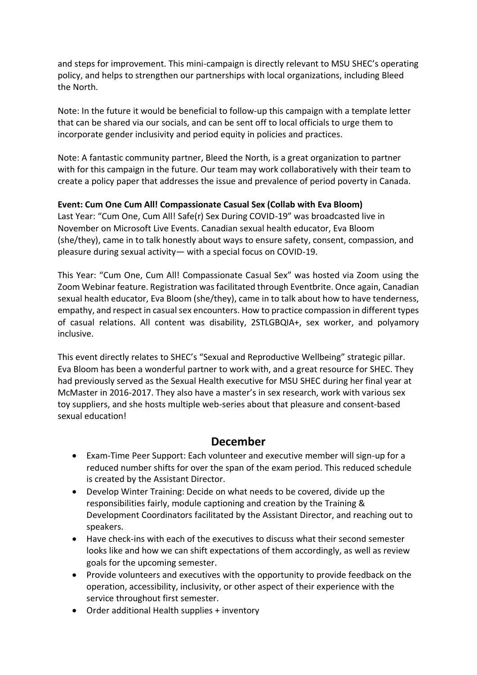and steps for improvement. This mini-campaign is directly relevant to MSU SHEC's operating policy, and helps to strengthen our partnerships with local organizations, including Bleed the North.

Note: In the future it would be beneficial to follow-up this campaign with a template letter that can be shared via our socials, and can be sent off to local officials to urge them to incorporate gender inclusivity and period equity in policies and practices.

Note: A fantastic community partner, Bleed the North, is a great organization to partner with for this campaign in the future. Our team may work collaboratively with their team to create a policy paper that addresses the issue and prevalence of period poverty in Canada.

#### **Event: Cum One Cum All! Compassionate Casual Sex (Collab with Eva Bloom)**

Last Year: "Cum One, Cum All! Safe(r) Sex During COVID-19" was broadcasted live in November on Microsoft Live Events. Canadian sexual health educator, Eva Bloom (she/they), came in to talk honestly about ways to ensure safety, consent, compassion, and pleasure during sexual activity— with a special focus on COVID-19.

This Year: "Cum One, Cum All! Compassionate Casual Sex" was hosted via Zoom using the Zoom Webinar feature. Registration was facilitated through Eventbrite. Once again, Canadian sexual health educator, Eva Bloom (she/they), came in to talk about how to have tenderness, empathy, and respect in casual sex encounters. How to practice compassion in different types of casual relations. All content was disability, 2STLGBQIA+, sex worker, and polyamory inclusive.

This event directly relates to SHEC's "Sexual and Reproductive Wellbeing" strategic pillar. Eva Bloom has been a wonderful partner to work with, and a great resource for SHEC. They had previously served as the Sexual Health executive for MSU SHEC during her final year at McMaster in 2016-2017. They also have a master's in sex research, work with various sex toy suppliers, and she hosts multiple web-series about that pleasure and consent-based sexual education!

## **December**

- Exam-Time Peer Support: Each volunteer and executive member will sign-up for a reduced number shifts for over the span of the exam period. This reduced schedule is created by the Assistant Director.
- Develop Winter Training: Decide on what needs to be covered, divide up the responsibilities fairly, module captioning and creation by the Training & Development Coordinators facilitated by the Assistant Director, and reaching out to speakers.
- Have check-ins with each of the executives to discuss what their second semester looks like and how we can shift expectations of them accordingly, as well as review goals for the upcoming semester.
- Provide volunteers and executives with the opportunity to provide feedback on the operation, accessibility, inclusivity, or other aspect of their experience with the service throughout first semester.
- Order additional Health supplies + inventory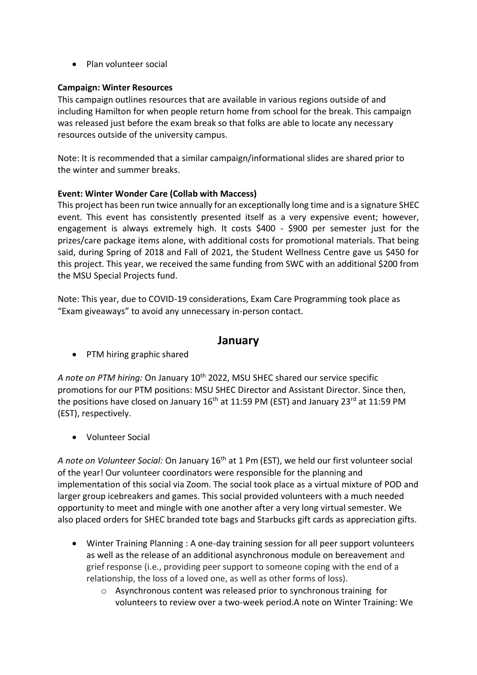• Plan volunteer social

#### **Campaign: Winter Resources**

This campaign outlines resources that are available in various regions outside of and including Hamilton for when people return home from school for the break. This campaign was released just before the exam break so that folks are able to locate any necessary resources outside of the university campus.

Note: It is recommended that a similar campaign/informational slides are shared prior to the winter and summer breaks.

#### **Event: Winter Wonder Care (Collab with Maccess)**

This project has been run twice annually for an exceptionally long time and is a signature SHEC event. This event has consistently presented itself as a very expensive event; however, engagement is always extremely high. It costs \$400 - \$900 per semester just for the prizes/care package items alone, with additional costs for promotional materials. That being said, during Spring of 2018 and Fall of 2021, the Student Wellness Centre gave us \$450 for this project. This year, we received the same funding from SWC with an additional \$200 from the MSU Special Projects fund.

Note: This year, due to COVID-19 considerations, Exam Care Programming took place as "Exam giveaways" to avoid any unnecessary in-person contact.

#### **January**

• PTM hiring graphic shared

*A note on PTM hiring:* On January 10th 2022, MSU SHEC shared our service specific promotions for our PTM positions: MSU SHEC Director and Assistant Director. Since then, the positions have closed on January  $16<sup>th</sup>$  at 11:59 PM (EST) and January 23<sup>rd</sup> at 11:59 PM (EST), respectively.

• Volunteer Social

*A note on Volunteer Social:* On January 16th at 1 Pm (EST), we held our first volunteer social of the year! Our volunteer coordinators were responsible for the planning and implementation of this social via Zoom. The social took place as a virtual mixture of POD and larger group icebreakers and games. This social provided volunteers with a much needed opportunity to meet and mingle with one another after a very long virtual semester. We also placed orders for SHEC branded tote bags and Starbucks gift cards as appreciation gifts.

- Winter Training Planning : A one-day training session for all peer support volunteers as well as the release of an additional asynchronous module on bereavement and grief response (i.e., providing peer support to someone coping with the end of a relationship, the loss of a loved one, as well as other forms of loss).
	- o Asynchronous content was released prior to synchronous training for volunteers to review over a two-week period.A note on Winter Training: We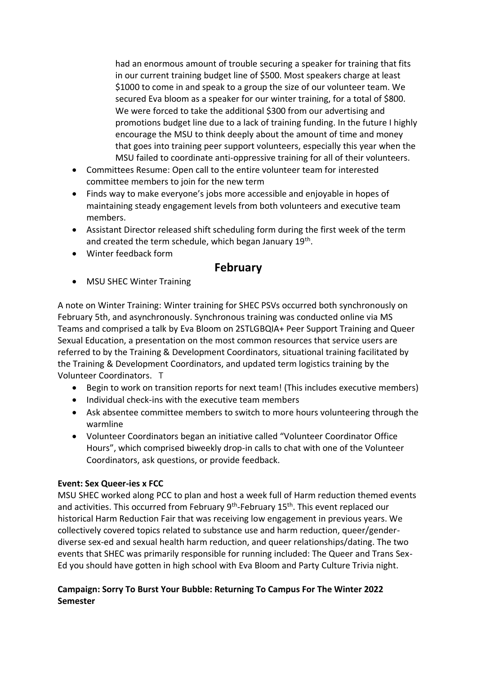had an enormous amount of trouble securing a speaker for training that fits in our current training budget line of \$500. Most speakers charge at least \$1000 to come in and speak to a group the size of our volunteer team. We secured Eva bloom as a speaker for our winter training, for a total of \$800. We were forced to take the additional \$300 from our advertising and promotions budget line due to a lack of training funding. In the future I highly encourage the MSU to think deeply about the amount of time and money that goes into training peer support volunteers, especially this year when the MSU failed to coordinate anti-oppressive training for all of their volunteers.

- Committees Resume: Open call to the entire volunteer team for interested committee members to join for the new term
- Finds way to make everyone's jobs more accessible and enjoyable in hopes of maintaining steady engagement levels from both volunteers and executive team members.
- Assistant Director released shift scheduling form during the first week of the term and created the term schedule, which began January 19<sup>th</sup>.
- Winter feedback form

# **February**

• MSU SHEC Winter Training

A note on Winter Training: Winter training for SHEC PSVs occurred both synchronously on February 5th, and asynchronously. Synchronous training was conducted online via MS Teams and comprised a talk by Eva Bloom on 2STLGBQIA+ Peer Support Training and Queer Sexual Education, a presentation on the most common resources that service users are referred to by the Training & Development Coordinators, situational training facilitated by the Training & Development Coordinators, and updated term logistics training by the Volunteer Coordinators. T

- Begin to work on transition reports for next team! (This includes executive members)
- Individual check-ins with the executive team members
- Ask absentee committee members to switch to more hours volunteering through the warmline
- Volunteer Coordinators began an initiative called "Volunteer Coordinator Office Hours", which comprised biweekly drop-in calls to chat with one of the Volunteer Coordinators, ask questions, or provide feedback.

#### **Event: Sex Queer-ies x FCC**

MSU SHEC worked along PCC to plan and host a week full of Harm reduction themed events and activities. This occurred from February 9<sup>th</sup>-February 15<sup>th</sup>. This event replaced our historical Harm Reduction Fair that was receiving low engagement in previous years. We collectively covered topics related to substance use and harm reduction, queer/genderdiverse sex-ed and sexual health harm reduction, and queer relationships/dating. The two events that SHEC was primarily responsible for running included: The Queer and Trans Sex-Ed you should have gotten in high school with Eva Bloom and Party Culture Trivia night.

#### **Campaign: Sorry To Burst Your Bubble: Returning To Campus For The Winter 2022 Semester**